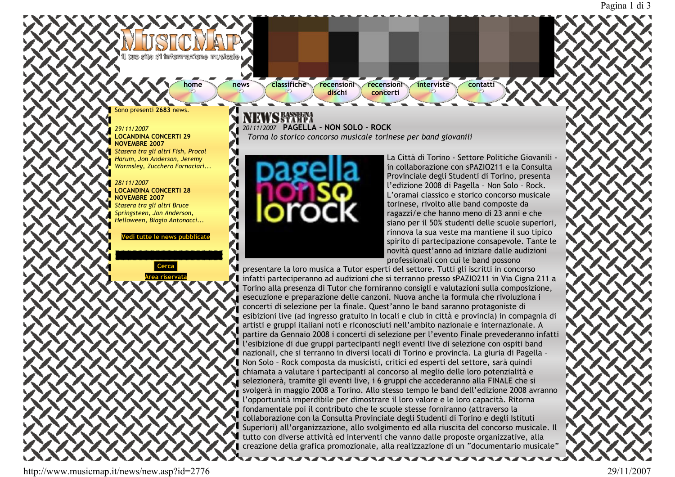## tons after sif finiformezione musicalle i

home

news

**classifiche** recensioni recensioni dischi

interviste contatti

 $\mathop{\text{conv}}$  necenti  $\mathop{2683}$  news

29/11/2007 **LOCANDINA CONCERTI 29** NOVEMBRE 2007 Stasera tra gli altri Fish, Procol Harum, Jon Anderson, Jeremy Warmsley, Zucchero Fornaciari...

## 28/11/2007 **LOCANDINA CONCERTI 28 NOVEMBRE 2007**

Stasera tra gli altri Bruce Springsteen, Jon Anderson, Helloween, Biagio Antonacci...

Vedi tutte le news pub



20/11/2007 PAGELLA - NON SOLO - ROCK Torna lo storico concorso musicale torinese per band giovanili

concerti



La Città di Torino - Settore Politiche Giovanili in collaborazione con sPAZIO211 e la Consulta Provinciale degli Studenti di Torino, presenta l'edizione 2008 di Pagella - Non Solo - Rock. L'oramai classico e storico concorso musicale torinese, rivolto alle band composte da ragazzi/e che hanno meno di 23 anni e che siano per il 50% studenti delle scuole superiori, rinnova la sua veste ma mantiene il suo tipico spirito di partecipazione consapevole. Tante le novità quest'anno ad iniziare dalle audizioni professionali con cui le band possono

presentare la loro musica a Tutor esperti del settore. Tutti gli iscritti in concorso Infatti parteciperanno ad audizioni che si terranno presso sPAZIO211 in Via Cigna 211 a Torino alla presenza di Tutor che forniranno consigli e valutazioni sulla composizione, esecuzione e preparazione delle canzoni. Nuova anche la formula che rivoluziona i concerti di selezione per la finale. Quest'anno le band saranno protagoniste di esibizioni live (ad ingresso gratuito in locali e club in città e provincia) in compagnia di artisti e gruppi italiani noti e riconosciuti nell'ambito nazionale e internazionale. A partire da Gennaio 2008 i concerti di selezione per l'evento Finale prevederanno infatti l'esibizione di due gruppi partecipanti negli eventi live di selezione con ospiti band nazionali, che si terranno in diversi locali di Torino e provincia. La giuria di Pagella -Non Solo - Rock composta da musicisti, critici ed esperti del settore, sarà quindi chiamata a valutare i partecipanti al concorso al meglio delle loro potenzialità e selezionerà, tramite gli eventi live, i 6 gruppi che accederanno alla FINALE che si svolgerà in maggio 2008 a Torino. Allo stesso tempo le band dell'edizione 2008 avranno l'opportunità imperdibile per dimostrare il loro valore e le loro capacità. Ritorna fondamentale poi il contributo che le scuole stesse forniranno (attraverso la collaborazione con la Consulta Provinciale degli Studenti di Torino e degli Istituti Superiori) all'organizzazione, allo svolgimento ed alla riuscita del concorso musicale. Il tutto con diverse attività ed interventi che vanno dalle proposte organizzative, alla creazione della grafica promozionale, alla realizzazione di un "documentario musicale"

http://www.musicmap.it/news/new.asp?id=2776

29/11/2007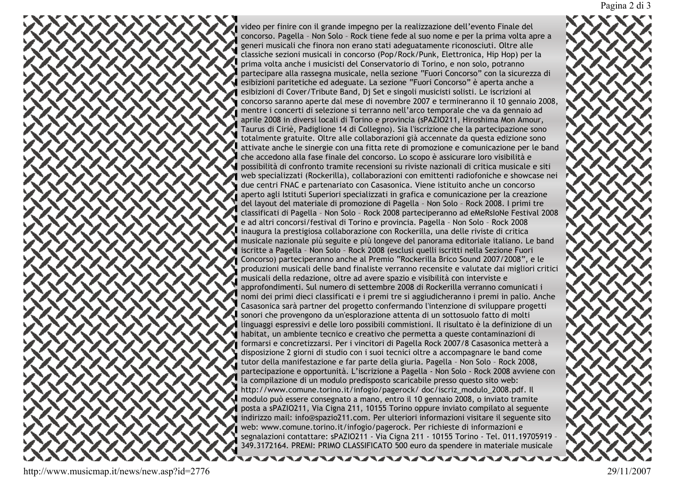video per finire con il grande impegno per la realizzazione dell'evento Finale del concorso. Pagella - Non Solo - Rock tiene fede al suo nome e per la prima volta apre a generi musicali che finora non erano stati adeguatamente riconosciuti. Oltre alle classiche sezioni musicali in concorso (Pop/Rock/Punk, Elettronica, Hip Hop) per la prima volta anche i musicisti del Conservatorio di Torino, e non solo, potranno partecipare alla rassegna musicale, nella sezione "Fuori Concorso" con la sicurezza di esibizioni paritetiche ed adeguate. La sezione "Fuori Concorso" è aperta anche a esibizioni di Cover/Tribute Band, Dj Set e singoli musicisti solisti. Le iscrizioni al concorso saranno aperte dal mese di novembre 2007 e termineranno il 10 gennaio 2008, mentre i concerti di selezione si terranno nell'arco temporale che va da gennaio ad aprile 2008 in diversi locali di Torino e provincia (sPAZIO211, Hiroshima Mon Amour, Taurus di Ciriè, Padiglione 14 di Collegno). Sia l'iscrizione che la partecipazione sono totalmente gratuite. Oltre alle collaborazioni già accennate da questa edizione sono attivate anche le sinergie con una fitta rete di promozione e comunicazione per le band che accedono alla fase finale del concorso. Lo scopo è assicurare loro visibilità e possibilità di confronto tramite recensioni su riviste nazionali di critica musicale e siti web specializzati (Rockerilla), collaborazioni con emittenti radiofoniche e showcase nei due centri FNAC e partenariato con Casasonica. Viene istituito anche un concorso aperto agli Istituti Superiori specializzati in grafica e comunicazione per la creazione del layout del materiale di promozione di Pagella - Non Solo - Rock 2008. I primi tre classificati di Pagella - Non Solo - Rock 2008 parteciperanno ad eMeRsIoNe Festival 2008 e ad altri concorsi/festival di Torino e provincia. Pagella - Non Solo - Rock 2008 inaugura la prestigiosa collaborazione con Rockerilla, una delle riviste di critica musicale nazionale più seguite e più longeve del panorama editoriale italiano. Le band i iscritte a Pagella - Non Solo - Rock 2008 (esclusi quelli iscritti nella Sezione Fuori Concorso) parteciperanno anche al Premio "Rockerilla Brico Sound 2007/2008", e le produzioni musicali delle band finaliste verranno recensite e valutate dai migliori critici musicali della redazione, oltre ad avere spazio e visibilità con interviste e approfondimenti. Sul numero di settembre 2008 di Rockerilla verranno comunicati i nomi dei primi dieci classificati e i premi tre si aggiudicheranno i premi in palio. Anche Casasonica sarà partner del progetto confermando l'intenzione di sviluppare progetti sonori che provengono da un'esplorazione attenta di un sottosuolo fatto di molti linguaggi espressivi e delle loro possibili commistioni. Il risultato è la definizione di un habitat, un ambiente tecnico e creativo che permetta a queste contaminazioni di formarsi e concretizzarsi. Per i vincitori di Pagella Rock 2007/8 Casasonica metterà a disposizione 2 giorni di studio con i suoi tecnici oltre a accompagnare le band come tutor della manifestazione e far parte della giuria. Pagella - Non Solo - Rock 2008, partecipazione e opportunità. L'iscrizione a Pagella - Non Solo - Rock 2008 avviene con la compilazione di un modulo predisposto scaricabile presso questo sito web: http://www.comune.torino.it/infogio/pagerock/doc/iscriz\_modulo\_2008.pdf. Il modulo può essere consegnato a mano, entro il 10 gennaio 2008, o inviato tramite posta a sPAZIO211, Via Cigna 211, 10155 Torino oppure inviato compilato al seguente indirizzo mail: info@spazio211.com. Per ulteriori informazioni visitare il seguente sito web: www.comune.torino.it/infogio/pagerock. Per richieste di informazioni e segnalazioni contattare: sPAZIO211 - Via Cigna 211 - 10155 Torino - Tel. 011.19705919 349.3172164. PREMI: PRIMO CLASSIFICATO 500 euro da spendere in materiale musicale

Pagina 2 di 3